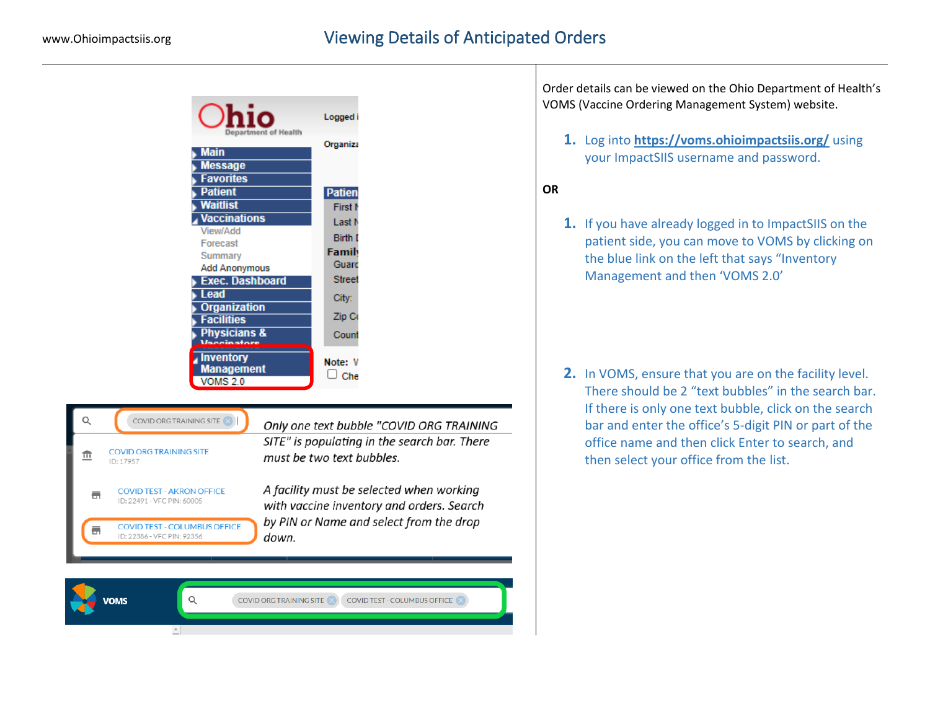|                                                                         | Logged i                                                                              |
|-------------------------------------------------------------------------|---------------------------------------------------------------------------------------|
| <b>Main</b><br><b>Message</b><br><b>Favorites</b>                       | Department of Health<br>Organiza                                                      |
| <b>Patient</b>                                                          | <b>Patien</b>                                                                         |
| <b>Waitlist</b>                                                         | First N                                                                               |
| <b>Vaccinations</b>                                                     | Last N                                                                                |
| View/Add                                                                | <b>Birth I</b>                                                                        |
| Forecast<br>Summary                                                     | Family                                                                                |
| <b>Add Anonymous</b>                                                    | Guarc                                                                                 |
| <b>Exec. Dashboard</b>                                                  | <b>Street</b>                                                                         |
| <b>Lead</b>                                                             | City:                                                                                 |
| <b>Organization</b>                                                     | Zip Co                                                                                |
| <b>Facilities</b><br>Physicians &                                       |                                                                                       |
|                                                                         | Count                                                                                 |
| <b>Inventory</b><br><b>Management</b><br><b>VOMS 2.0</b>                | Note: V<br>$\Box$ Che                                                                 |
|                                                                         |                                                                                       |
| Q<br>COVID ORG TRAINING SITE                                            | Only one text bubble "COVID ORG TRAINING                                              |
|                                                                         |                                                                                       |
| <b>COVID ORG TRAINING SITE</b><br>$\overline{\mathbb{H}}$<br>ID: 17957  | SITE" is populating in the search bar. There<br>must be two text bubbles.             |
| <b>COVID TEST - AKRON OFFICE</b><br>륾<br>ID: 22491 - VFC PIN: 60005     | A facility must be selected when working<br>with vaccine inventory and orders. Search |
| <b>COVID TEST - COLUMBUS OFFICE</b><br>ā.<br>ID: 22386 - VFC PIN: 92356 | by PIN or Name and select from the drop<br>down.                                      |
|                                                                         |                                                                                       |
|                                                                         |                                                                                       |
| $\mathsf Q$<br><b>JOMS</b>                                              | <b>COVID ORG TRAINING SITE</b><br>COVID TEST - COLUMBUS OFFICE                        |

Order details can be viewed on the Ohio Department of Health's VOMS (Vaccine Ordering Management System) website.

**1.** Log into **<https://voms.ohioimpactsiis.org/>** using your ImpactSIIS username and password.

## **OR**

**1.** If you have already logged in to ImpactSIIS on the patient side, you can move to VOMS by clicking on the blue link on the left that says "Inventory Management and then 'VOMS 2.0'

**2.** In VOMS, ensure that you are on the facility level. There should be 2 "text bubbles" in the search bar. If there is only one text bubble, click on the search bar and enter the office's 5-digit PIN or part of the office name and then click Enter to search, and then select your office from the list.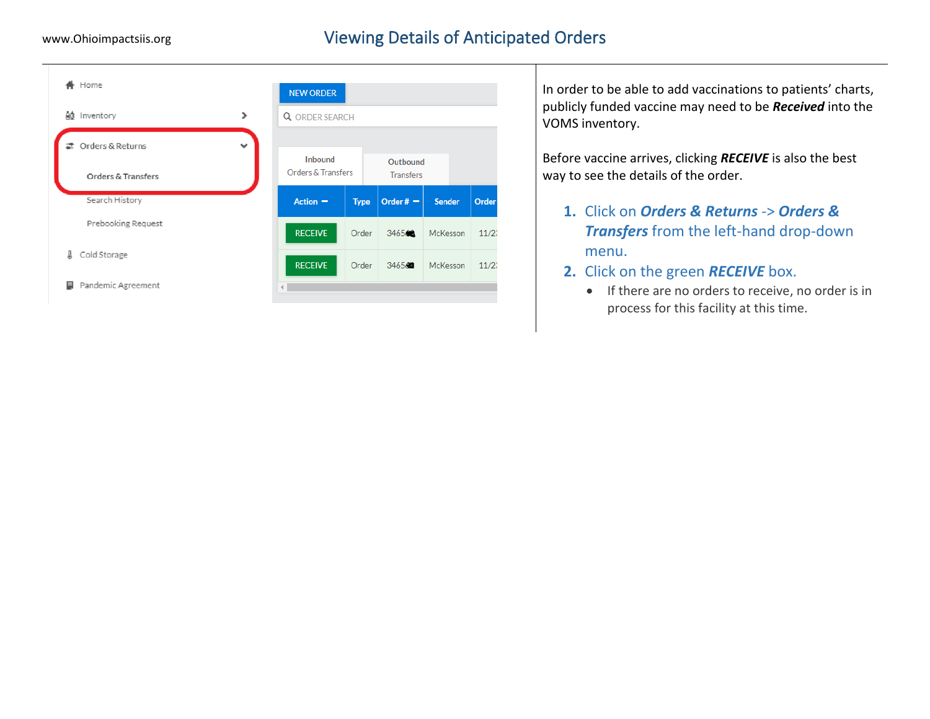## www.Ohioimpactsiis.org **Viewing Details of Anticipated Orders**



In order to be able to add vaccinations to patients' charts, publicly funded vaccine may need to be *Received* into the VOMS inventory.

Before vaccine arrives, clicking *RECEIVE* is also the best way to see the details of the order.

- **1.** Click on *Orders & Returns* -> *Orders & Transfers* from the left-hand drop-down menu.
- **2.** Click on the green *RECEIVE* box.
	- If there are no orders to receive, no order is in process for this facility at this time.